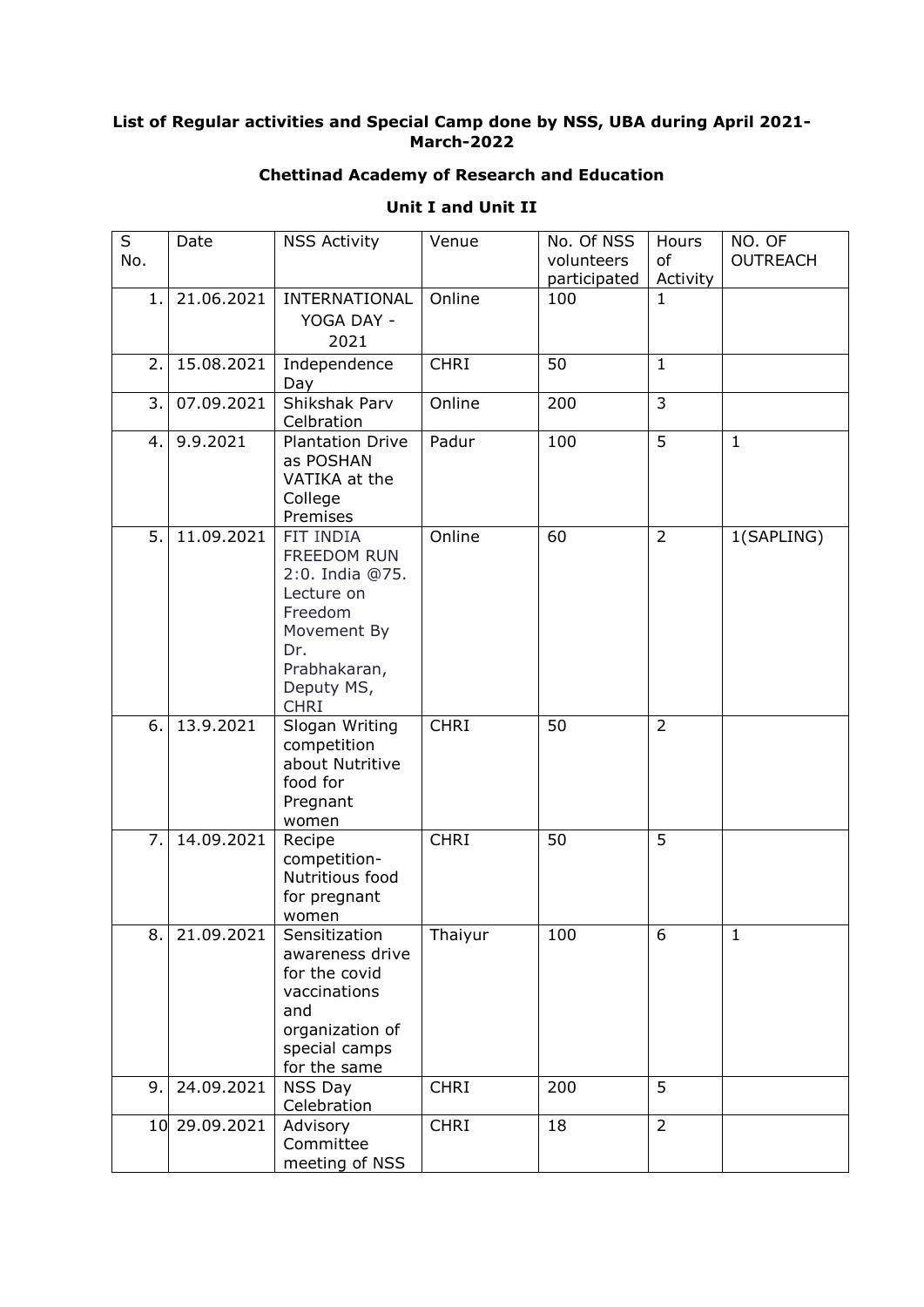## **List of Regular activities and Special Camp done by NSS, UBA during April 2021- March-2022**

## **Chettinad Academy of Research and Education**

| <b>Unit I and Unit II</b> |  |  |  |
|---------------------------|--|--|--|
|---------------------------|--|--|--|

| S   | Date          | <b>NSS Activity</b>         | Venue       | No. Of NSS   | Hours                   | NO. OF          |
|-----|---------------|-----------------------------|-------------|--------------|-------------------------|-----------------|
| No. |               |                             |             | volunteers   | of                      | <b>OUTREACH</b> |
|     |               |                             |             | participated | Activity                |                 |
| 1.1 | 21.06.2021    | INTERNATIONAL               | Online      | 100          | $\mathbf{1}$            |                 |
|     |               | YOGA DAY -                  |             |              |                         |                 |
|     |               | 2021                        |             |              |                         |                 |
| 2.  | 15.08.2021    | Independence<br>Day         | <b>CHRI</b> | 50           | $\mathbf{1}$            |                 |
| 3.  | 07.09.2021    | Shikshak Parv<br>Celbration | Online      | 200          | $\overline{\mathbf{3}}$ |                 |
| 4.  | 9.9.2021      | <b>Plantation Drive</b>     | Padur       | 100          | $\overline{5}$          | $\mathbf{1}$    |
|     |               | as POSHAN                   |             |              |                         |                 |
|     |               | VATIKA at the               |             |              |                         |                 |
|     |               | College                     |             |              |                         |                 |
|     |               | Premises                    |             |              |                         |                 |
| 5.  | 11.09.2021    | FIT INDIA<br>FREEDOM RUN    | Online      | 60           | $\overline{2}$          | 1(SAPLING)      |
|     |               | 2:0. India @75.             |             |              |                         |                 |
|     |               | Lecture on                  |             |              |                         |                 |
|     |               | Freedom                     |             |              |                         |                 |
|     |               | Movement By                 |             |              |                         |                 |
|     |               | Dr.                         |             |              |                         |                 |
|     |               | Prabhakaran,<br>Deputy MS,  |             |              |                         |                 |
|     |               | <b>CHRI</b>                 |             |              |                         |                 |
| 6.  | 13.9.2021     | Slogan Writing              | <b>CHRI</b> | 50           | $\overline{2}$          |                 |
|     |               | competition                 |             |              |                         |                 |
|     |               | about Nutritive             |             |              |                         |                 |
|     |               | food for                    |             |              |                         |                 |
|     |               | Pregnant<br>women           |             |              |                         |                 |
| 7.  | 14.09.2021    | Recipe                      | <b>CHRI</b> | 50           | 5                       |                 |
|     |               | competition-                |             |              |                         |                 |
|     |               | Nutritious food             |             |              |                         |                 |
|     |               | for pregnant                |             |              |                         |                 |
| 8.  | 21.09.2021    | women<br>Sensitization      |             | 100          | 6                       | 1               |
|     |               | awareness drive             | Thaiyur     |              |                         |                 |
|     |               | for the covid               |             |              |                         |                 |
|     |               | vaccinations                |             |              |                         |                 |
|     |               | and                         |             |              |                         |                 |
|     |               | organization of             |             |              |                         |                 |
|     |               | special camps               |             |              |                         |                 |
| 9.  | 24.09.2021    | for the same<br>NSS Day     | <b>CHRI</b> | 200          | 5                       |                 |
|     |               | Celebration                 |             |              |                         |                 |
|     | 10 29.09.2021 | Advisory                    | <b>CHRI</b> | 18           | $\overline{2}$          |                 |
|     |               | Committee                   |             |              |                         |                 |
|     |               | meeting of NSS              |             |              |                         |                 |